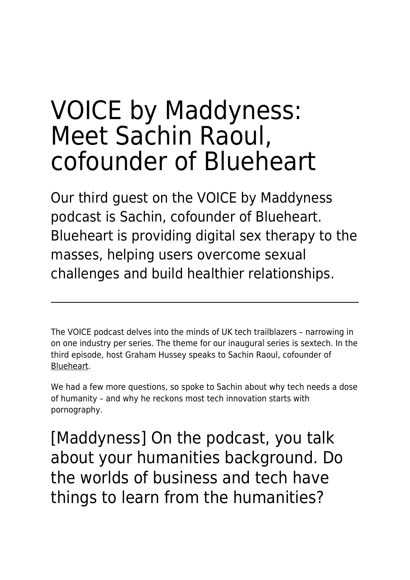# VOICE by Maddyness: Meet Sachin Raoul, cofounder of Blueheart

Our third guest on the VOICE by Maddyness podcast is Sachin, cofounder of Blueheart. Blueheart is providing digital sex therapy to the masses, helping users overcome sexual challenges and build healthier relationships.

The VOICE podcast delves into the minds of UK tech trailblazers – narrowing in on one industry per series. The theme for our inaugural series is sextech. In the third episode, host Graham Hussey speaks to Sachin Raoul, cofounder of [Blueheart](https://www.blueheart.io/).

We had a few more questions, so spoke to Sachin about why tech needs a dose of humanity – and why he reckons most tech innovation starts with pornography.

[Maddyness] On the podcast, you talk about your humanities background. Do the worlds of business and tech have things to learn from the humanities?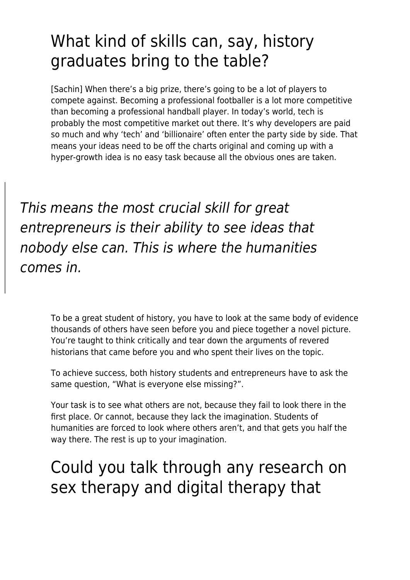## What kind of skills can, say, history graduates bring to the table?

[Sachin] When there's a big prize, there's going to be a lot of players to compete against. Becoming a professional footballer is a lot more competitive than becoming a professional handball player. In today's world, tech is probably the most competitive market out there. It's why developers are paid so much and why 'tech' and 'billionaire' often enter the party side by side. That means your ideas need to be off the charts original and coming up with a hyper-growth idea is no easy task because all the obvious ones are taken.

This means the most crucial skill for great entrepreneurs is their ability to see ideas that nobody else can. This is where the humanities comes in.

> To be a great student of history, you have to look at the same body of evidence thousands of others have seen before you and piece together a novel picture. You're taught to think critically and tear down the arguments of revered historians that came before you and who spent their lives on the topic.

To achieve success, both history students and entrepreneurs have to ask the same question, "What is everyone else missing?".

Your task is to see what others are not, because they fail to look there in the first place. Or cannot, because they lack the imagination. Students of humanities are forced to look where others aren't, and that gets you half the way there. The rest is up to your imagination.

## Could you talk through any research on sex therapy and digital therapy that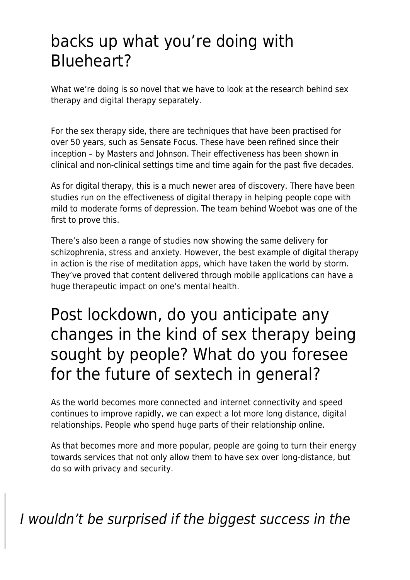### backs up what you're doing with Blueheart?

What we're doing is so novel that we have to look at the research behind sex therapy and digital therapy separately.

For the sex therapy side, there are techniques that have been practised for over 50 years, such as Sensate Focus. These have been refined since their inception – by Masters and Johnson. Their effectiveness has been shown in clinical and non-clinical settings time and time again for the past five decades.

As for digital therapy, this is a much newer area of discovery. There have been studies run on the effectiveness of digital therapy in helping people cope with mild to moderate forms of depression. The team behind Woebot was one of the first to prove this.

There's also been a range of studies now showing the same delivery for schizophrenia, stress and anxiety. However, the best example of digital therapy in action is the rise of meditation apps, which have taken the world by storm. They've proved that content delivered through mobile applications can have a huge therapeutic impact on one's mental health.

### Post lockdown, do you anticipate any changes in the kind of sex therapy being sought by people? What do you foresee for the future of sextech in general?

As the world becomes more connected and internet connectivity and speed continues to improve rapidly, we can expect a lot more long distance, digital relationships. People who spend huge parts of their relationship online.

As that becomes more and more popular, people are going to turn their energy towards services that not only allow them to have sex over long-distance, but do so with privacy and security.

I wouldn't be surprised if the biggest success in the